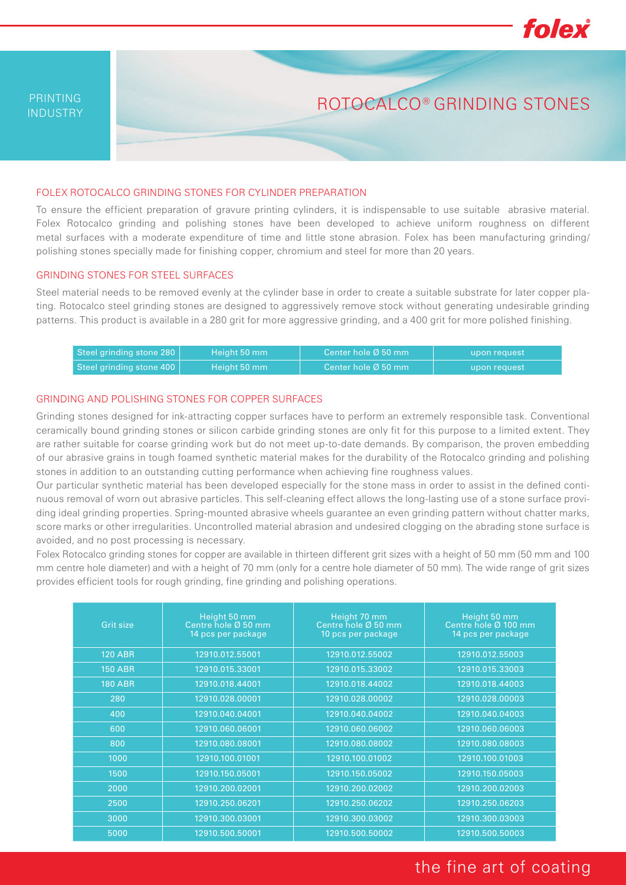

ROTOCALCO® GRINDING STONES

## FOLEX ROTOCALCO GRINDING STONES FOR CYLINDER PREPARATION

To ensure the efficient preparation of gravure printing cylinders, it is indispensable to use suitable abrasive material. Folex Rotocalco grinding and polishing stones have been developed to achieve uniform roughness on different metal surfaces with a moderate expenditure of time and little stone abrasion. Folex has been manufacturing grinding/ polishing stones specially made for finishing copper, chromium and steel for more than 20 years.

### GRINDING STONES FOR STEEL SURFACES

Steel material needs to be removed evenly at the cylinder base in order to create a suitable substrate for later copper plating. Rotocalco steel grinding stones are designed to aggressively remove stock without generating undesirable grinding patterns. This product is available in a 280 grit for more aggressive grinding, and a 400 grit for more polished finishing.

| Steel grinding stone 280 | Height 50 mm | LCenter hole Ø 50 mm $^{\rm !}$  | upon request |
|--------------------------|--------------|----------------------------------|--------------|
| Steel grinding stone 400 | Height 50 mm | l Center hole Ø 50 mm $^{\rm !}$ | upon request |

## GRINDING AND POLISHING STONES FOR COPPER SURFACES

Grinding stones designed for ink-attracting copper surfaces have to perform an extremely responsible task. Conventional ceramically bound grinding stones or silicon carbide grinding stones are only fit for this purpose to a limited extent. They are rather suitable for coarse grinding work but do not meet up-to-date demands. By comparison, the proven embedding of our abrasive grains in tough foamed synthetic material makes for the durability of the Rotocalco grinding and polishing stones in addition to an outstanding cutting performance when achieving fine roughness values.

Our particular synthetic material has been developed especially for the stone mass in order to assist in the defined continuous removal of worn out abrasive particles. This self-cleaning effect allows the long-lasting use of a stone surface providing ideal grinding properties. Spring-mounted abrasive wheels guarantee an even grinding pattern without chatter marks, score marks or other irregularities. Uncontrolled material abrasion and undesired clogging on the abrading stone surface is avoided, and no post processing is necessary.

Folex Rotocalco grinding stones for copper are available in thirteen different grit sizes with a height of 50 mm (50 mm and 100 mm centre hole diameter) and with a height of 70 mm (only for a centre hole diameter of 50 mm). The wide range of grit sizes provides efficient tools for rough grinding, fine grinding and polishing operations.

| Grit size      | Height 50 mm<br>Centre hole Ø 50 mm<br>14 pcs per package | Height 70 mm<br>Centre hole Ø 50 mm<br>10 pcs per package | Height 50 mm<br>Centre hole Ø 100 mm<br>14 pcs per package |
|----------------|-----------------------------------------------------------|-----------------------------------------------------------|------------------------------------------------------------|
| <b>120 ABR</b> | 12910.012.55001                                           | 12910.012.55002                                           | 12910.012.55003                                            |
| <b>150 ABR</b> | 12910.015.33001                                           | 12910.015.33002                                           | 12910.015.33003                                            |
| <b>180 ABR</b> | 12910.018.44001                                           | 12910.018.44002                                           | 12910.018.44003                                            |
| 280            | 12910.028.00001                                           | 12910.028.00002                                           | 12910.028.00003                                            |
| 400            | 12910.040.04001                                           | 12910.040.04002                                           | 12910.040.04003                                            |
| 600            | 12910.060.06001                                           | 12910.060.06002                                           | 12910.060.06003                                            |
| 800            | 12910.080.08001                                           | 12910.080.08002                                           | 12910.080.08003                                            |
| 1000           | 12910.100.01001                                           | 12910.100.01002                                           | 12910.100.01003                                            |
| 1500           | 12910.150.05001                                           | 12910.150.05002                                           | 12910.150.05003                                            |
| 2000           | 12910.200.02001                                           | 12910.200.02002                                           | 12910.200.02003                                            |
| 2500           | 12910.250.06201                                           | 12910.250.06202                                           | 12910.250.06203                                            |
| 3000           | 12910.300.03001                                           | 12910.300.03002                                           | 12910.300.03003                                            |
| 5000           | 12910.500.50001                                           | 12910.500.50002                                           | 12910.500.50003                                            |

# the fine art of coating